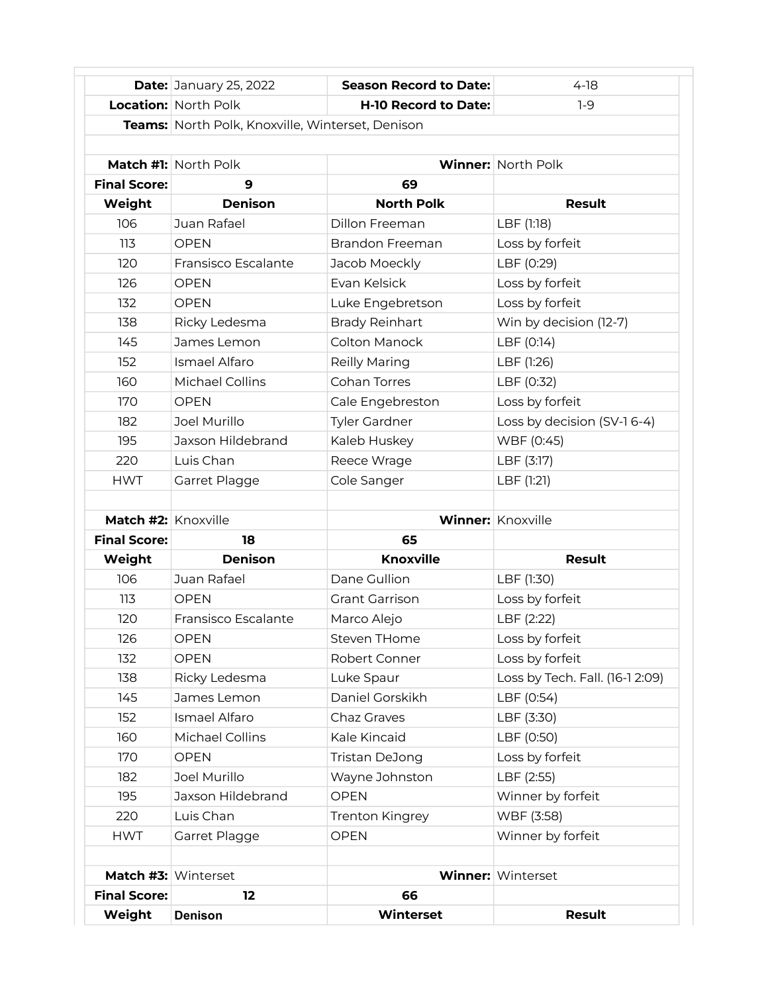|                     | <b>Date: January 25, 2022</b>                    | <b>Season Record to Date:</b> | $4-18$                          |  |  |
|---------------------|--------------------------------------------------|-------------------------------|---------------------------------|--|--|
|                     | <b>Location: North Polk</b>                      | <b>H-10 Record to Date:</b>   | $1-9$                           |  |  |
|                     | Teams: North Polk, Knoxville, Winterset, Denison |                               |                                 |  |  |
|                     |                                                  |                               |                                 |  |  |
|                     | Match #1: North Polk                             |                               | <b>Winner: North Polk</b>       |  |  |
| <b>Final Score:</b> | 9                                                | 69                            |                                 |  |  |
| Weight              | <b>Denison</b>                                   | <b>North Polk</b>             | <b>Result</b>                   |  |  |
| 106                 | Juan Rafael                                      | <b>Dillon Freeman</b>         | LBF (1:18)                      |  |  |
| 113                 | <b>OPEN</b>                                      | <b>Brandon Freeman</b>        | Loss by forfeit                 |  |  |
| 120                 | Fransisco Escalante                              | Jacob Moeckly                 | LBF (0:29)                      |  |  |
| 126                 | <b>OPEN</b>                                      | Evan Kelsick                  | Loss by forfeit                 |  |  |
| 132                 | <b>OPEN</b>                                      | Luke Engebretson              | Loss by forfeit                 |  |  |
| 138                 | Ricky Ledesma                                    | <b>Brady Reinhart</b>         | Win by decision (12-7)          |  |  |
| 145                 | James Lemon                                      | Colton Manock                 | LBF (0:14)                      |  |  |
| 152                 | Ismael Alfaro                                    | Reilly Maring                 | LBF (1:26)                      |  |  |
| 160                 | Michael Collins                                  | Cohan Torres                  | LBF (0:32)                      |  |  |
| 170                 | <b>OPEN</b>                                      | Cale Engebreston              | Loss by forfeit                 |  |  |
| 182                 | Joel Murillo                                     | <b>Tyler Gardner</b>          | Loss by decision (SV-1 6-4)     |  |  |
| 195                 | Jaxson Hildebrand                                | Kaleb Huskey                  | WBF (0:45)                      |  |  |
| 220                 | Luis Chan                                        | Reece Wrage                   | LBF (3:17)                      |  |  |
| <b>HWT</b>          | Garret Plagge                                    | Cole Sanger                   | LBF (1:21)                      |  |  |
|                     |                                                  |                               |                                 |  |  |
| Match #2: Knoxville |                                                  |                               | Winner: Knoxville               |  |  |
| <b>Final Score:</b> | 18                                               | 65                            |                                 |  |  |
| Weight              | <b>Denison</b>                                   | <b>Knoxville</b>              | <b>Result</b>                   |  |  |
| 106                 | Juan Rafael                                      | Dane Gullion                  | LBF (1:30)                      |  |  |
| 113                 | <b>OPEN</b>                                      | <b>Grant Garrison</b>         | Loss by forfeit                 |  |  |
| 120                 | Fransisco Escalante                              | Marco Alejo                   | LBF (2:22)                      |  |  |
| 126                 | <b>OPEN</b>                                      | Steven THome                  | Loss by forfeit                 |  |  |
| 132                 | <b>OPEN</b>                                      | Robert Conner                 | Loss by forfeit                 |  |  |
| 138                 | Ricky Ledesma                                    | Luke Spaur                    | Loss by Tech. Fall. (16-1 2:09) |  |  |
| 145                 | James Lemon                                      | Daniel Gorskikh               | LBF (0:54)                      |  |  |
| 152                 | Ismael Alfaro                                    | Chaz Graves                   | LBF (3:30)                      |  |  |
| 160                 | Michael Collins                                  | Kale Kincaid                  | LBF (0:50)                      |  |  |
| 170                 | <b>OPEN</b>                                      | Tristan DeJong                | Loss by forfeit                 |  |  |
| 182                 | Joel Murillo                                     | Wayne Johnston                | LBF (2:55)                      |  |  |
| 195                 | Jaxson Hildebrand                                | <b>OPEN</b>                   | Winner by forfeit               |  |  |
| 220                 | Luis Chan                                        | Trenton Kingrey               | WBF (3:58)                      |  |  |
| <b>HWT</b>          | Garret Plagge                                    | <b>OPEN</b>                   | Winner by forfeit               |  |  |
|                     |                                                  |                               |                                 |  |  |
|                     | Match #3: Winterset                              |                               | <b>Winner: Winterset</b>        |  |  |
| <b>Final Score:</b> | 12                                               | 66                            |                                 |  |  |
| Weight              | <b>Denison</b>                                   | <b>Winterset</b>              | <b>Result</b>                   |  |  |